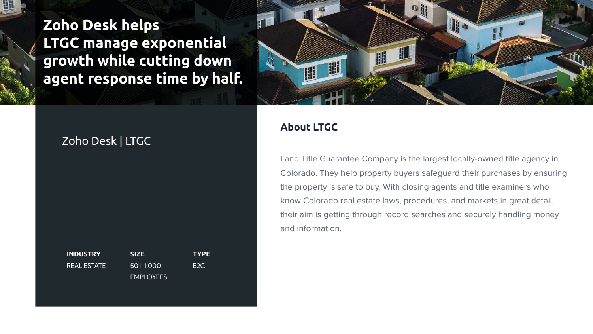Land Title Guarantee Company is the largest locally-owned title agency in Colorado. They help property buyers safeguard their purchases by ensuring the property is safe to buy. With closing agents and title examiners who know Colorado real estate laws, procedures, and markets in great detail, their aim is getting through record searches and securely handling money and information.



**INDUSTRY** REAL ESTATE

**SIZE** 501-1,000 EMPLOYEES **TYPE** B2C



**Zoho Desk helps LTGC manage exponential growth while cutting down agent response time by half.**

## Zoho Desk | LTGC

## **About LTGC**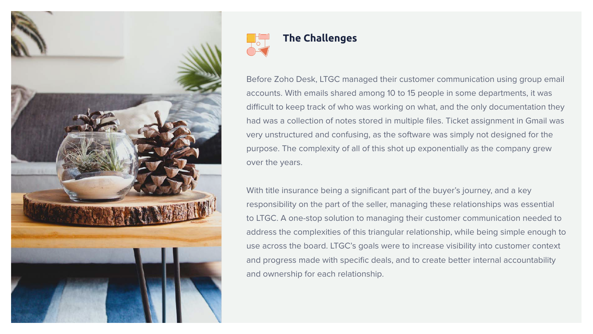



Before Zoho Desk, LTGC managed their customer communication using group email accounts. With emails shared among 10 to 15 people in some departments, it was difficult to keep track of who was working on what, and the only documentation they had was a collection of notes stored in multiple files. Ticket assignment in Gmail was very unstructured and confusing, as the software was simply not designed for the purpose. The complexity of all of this shot up exponentially as the company grew over the years.

With title insurance being a significant part of the buyer's journey, and a key responsibility on the part of the seller, managing these relationships was essential to LTGC. A one-stop solution to managing their customer communication needed to address the complexities of this triangular relationship, while being simple enough to use across the board. LTGC's goals were to increase visibility into customer context and progress made with specific deals, and to create better internal accountability and ownership for each relationship.

## **The Challenges**



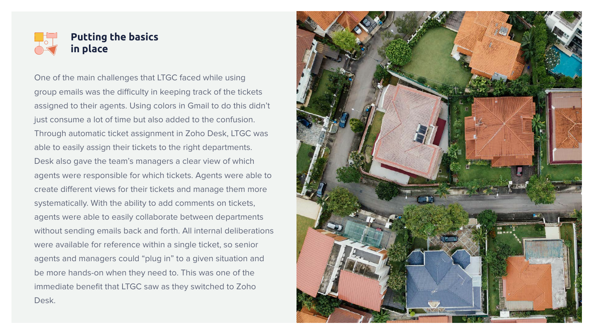One of the main challenges that LTGC faced while using group emails was the difficulty in keeping track of the tickets assigned to their agents. Using colors in Gmail to do this didn't just consume a lot of time but also added to the confusion. Through automatic ticket assignment in Zoho Desk, LTGC was able to easily assign their tickets to the right departments. Desk also gave the team's managers a clear view of which agents were responsible for which tickets. Agents were able to create different views for their tickets and manage them more systematically. With the ability to add comments on tickets, agents were able to easily collaborate between departments without sending emails back and forth. All internal deliberations were available for reference within a single ticket, so senior agents and managers could "plug in" to a given situation and be more hands-on when they need to. This was one of the immediate benefit that LTGC saw as they switched to Zoho Desk.



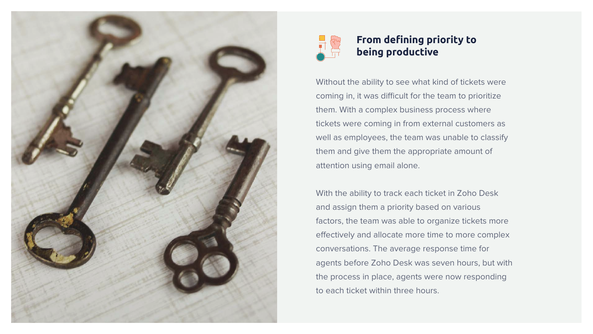Without the ability to see what kind of tickets were coming in, it was difficult for the team to prioritize them. With a complex business process where tickets were coming in from external customers as well as employees, the team was unable to classify them and give them the appropriate amount of attention using email alone.

With the ability to track each ticket in Zoho Desk and assign them a priority based on various factors, the team was able to organize tickets more effectively and allocate more time to more complex conversations. The average response time for agents before Zoho Desk was seven hours, but with the process in place, agents were now responding to each ticket within three hours.





## **From defining priority to being productive**